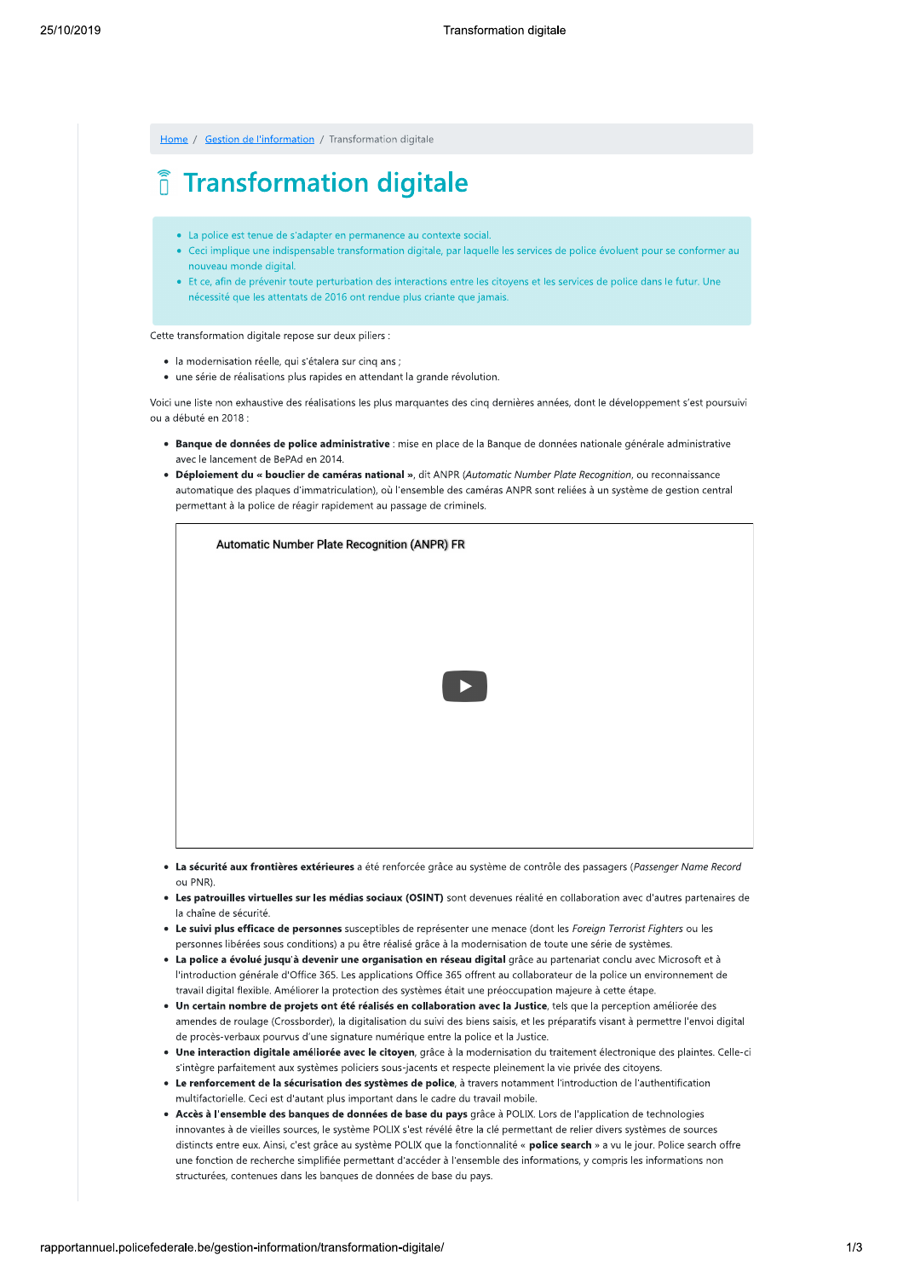Home / Gestion de l'information / Transformation digitale

# *i* Transformation digitale

- La police est tenue de s'adapter en permanence au contexte social.
- Ceci implique une indispensable transformation digitale, par laquelle les services de police évoluent pour se conformer au nouveau monde digital
- Et ce, afin de prévenir toute perturbation des interactions entre les citoyens et les services de police dans le futur. Une nécessité que les attentats de 2016 ont rendue plus criante que jamais.

Cette transformation digitale repose sur deux piliers :

- · la modernisation réelle, qui s'étalera sur cinq ans ;
- · une série de réalisations plus rapides en attendant la grande révolution.

Voici une liste non exhaustive des réalisations les plus marquantes des cinq dernières années, dont le développement s'est poursuivi ou a débuté en 2018 :

- · Banque de données de police administrative : mise en place de la Banque de données nationale générale administrative avec le lancement de BePAd en 2014.
- Déploiement du « bouclier de caméras national », dit ANPR (Automatic Number Plate Recognition, ou reconnaissance automatique des plaques d'immatriculation), où l'ensemble des caméras ANPR sont reliées à un système de gestion central permettant à la police de réagir rapidement au passage de criminels.

| Automatic Number Plate Recognition (ANPR) FR |
|----------------------------------------------|
|                                              |
|                                              |
| TE ST                                        |
|                                              |
|                                              |
|                                              |
|                                              |

- · La sécurité aux frontières extérieures a été renforcée grâce au système de contrôle des passagers (Passenger Name Record ou PNR)
- . Les patrouilles virtuelles sur les médias sociaux (OSINT) sont devenues réalité en collaboration avec d'autres partenaires de la chaîne de sécurité.
- . Le suivi plus efficace de personnes susceptibles de représenter une menace (dont les Foreign Terrorist Fighters ou les personnes libérées sous conditions) a pu être réalisé grâce à la modernisation de toute une série de systèmes.
- . La police a évolué jusqu'à devenir une organisation en réseau digital grâce au partenariat conclu avec Microsoft et à l'introduction générale d'Office 365. Les applications Office 365 offrent au collaborateur de la police un environnement de travail digital flexible. Améliorer la protection des systèmes était une préoccupation majeure à cette étape.
- · Un certain nombre de projets ont été réalisés en collaboration avec la Justice, tels que la perception améliorée des amendes de roulage (Crossborder), la digitalisation du suivi des biens saisis, et les préparatifs visant à permettre l'envoi digital de procès-verbaux pourvus d'une signature numérique entre la police et la Justice.
- Une interaction digitale améliorée avec le citoyen, grâce à la modernisation du traitement électronique des plaintes. Celle-ci s'intègre parfaitement aux systèmes policiers sous-jacents et respecte pleinement la vie privée des citoyens.
- Le renforcement de la sécurisation des systèmes de police, à travers notamment l'introduction de l'authentification multifactorielle. Ceci est d'autant plus important dans le cadre du travail mobile.
- · Accès à l'ensemble des banques de données de base du pays grâce à POLIX. Lors de l'application de technologies innovantes à de vieilles sources, le système POLIX s'est révélé être la clé permettant de relier divers systèmes de sources distincts entre eux. Ainsi, c'est grâce au système POLIX que la fonctionnalité « police search » a vu le jour. Police search offre une fonction de recherche simplifiée permettant d'accéder à l'ensemble des informations, y compris les informations non structurées, contenues dans les banques de données de base du pays.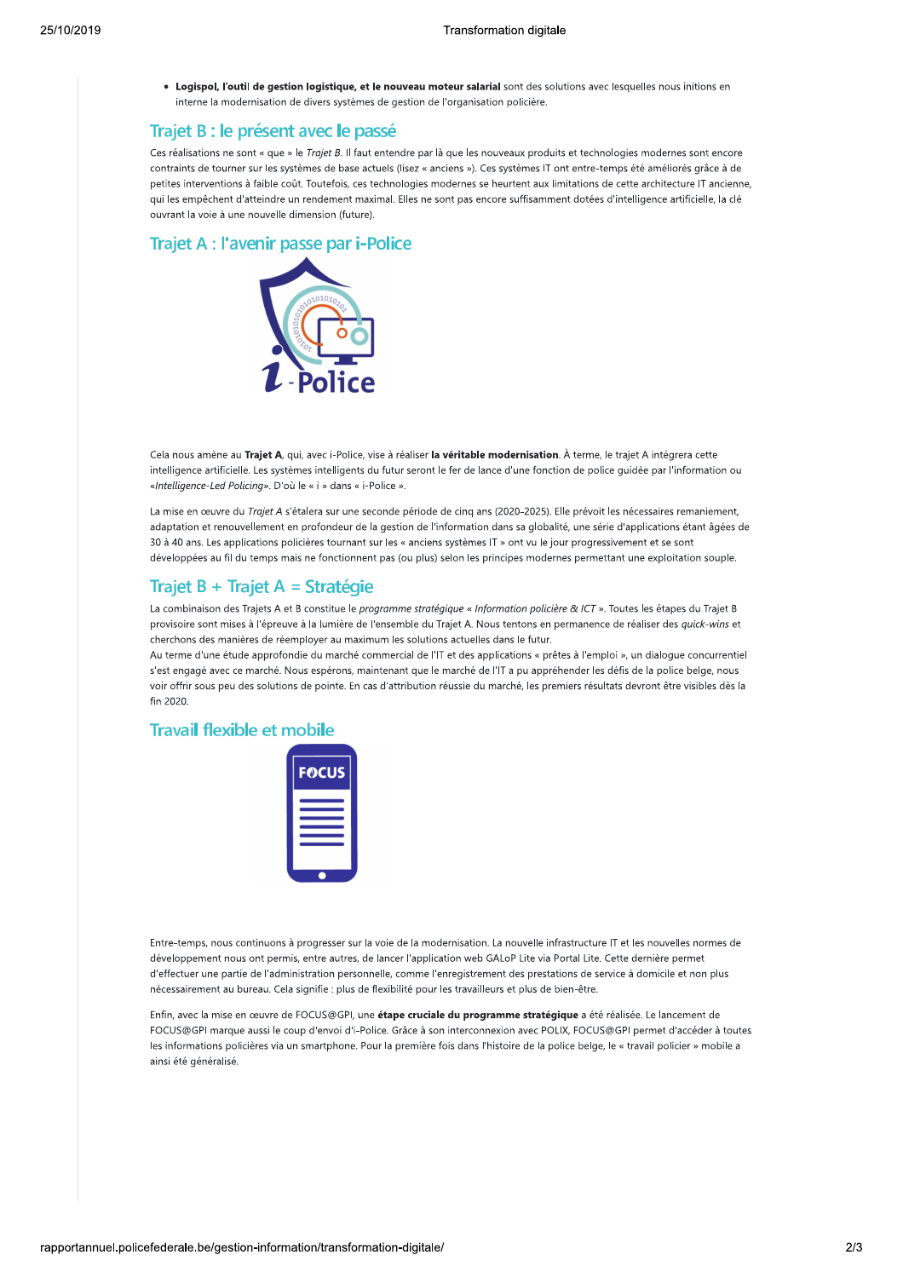• Logispol, l'outil de gestion logistique, et le nouveau moteur salarial sont des solutions avec lesquelles nous initions en interne la modernisation de divers systèmes de gestion de l'organisation policière.

# Trajet B : le présent avec le passé

Ces réalisations ne sont « que » le Trajet B. Il faut entendre par là que les nouveaux produits et technologies modernes sont encore contraints de tourner sur les systèmes de base actuels (lisez « anciens »). Ces systèmes IT ont entre-temps été améliorés grâce à de petites interventions à faible coût. Toutefois, ces technologies modernes se heurtent aux limitations de cette architecture IT ancienne, qui les empêchent d'atteindre un rendement maximal. Elles ne sont pas encore suffisamment dotées d'intelligence artificielle, la clé ouvrant la voie à une nouvelle dimension (future).

#### Trajet A : l'avenir passe par i-Police



Cela nous amène au Trajet A, qui, avec i-Police, vise à réaliser la véritable modernisation. À terme, le trajet A intégrera cette intelligence artificielle. Les systèmes intelligents du futur seront le fer de lance d'une fonction de police guidée par l'information ou «Intelligence-Led Policing». D'où le « i » dans « i-Police ».

La mise en œuvre du Trajet A s'étalera sur une seconde période de cinq ans (2020-2025). Elle prévoit les nécessaires remaniement, adaptation et renouvellement en profondeur de la gestion de l'information dans sa globalité, une série d'applications étant âgées de 30 à 40 ans. Les applications policières tournant sur les « anciens systèmes IT » ont vu le jour progressivement et se sont développées au fil du temps mais ne fonctionnent pas (ou plus) selon les principes modernes permettant une exploitation souple.

# Trajet B + Trajet A = Stratégie

La combinaison des Trajets A et B constitue le programme stratégique « Information policière & ICT ». Toutes les étapes du Trajet B provisoire sont mises à l'épreuve à la lumière de l'ensemble du Trajet A. Nous tentons en permanence de réaliser des quick-wins et cherchons des manières de réemployer au maximum les solutions actuelles dans le futur.

Au terme d'une étude approfondie du marché commercial de l'IT et des applications « prêtes à l'emploi », un dialogue concurrentiel s'est engagé avec ce marché. Nous espérons, maintenant que le marché de l'IT a pu appréhender les défis de la police belge, nous voir offrir sous peu des solutions de pointe. En cas d'attribution réussie du marché, les premiers résultats devront être visibles dès la  $fin 2020$ 

# **Travail flexible et mobile**



Entre-temps, nous continuons à progresser sur la voie de la modernisation, La nouvelle infrastructure IT et les nouvelles normes de développement nous ont permis, entre autres, de lancer l'application web GALoP Lite via Portal Lite. Cette dernière permet d'effectuer une partie de l'administration personnelle, comme l'enregistrement des prestations de service à domicile et non plus nécessairement au bureau. Cela signifie : plus de flexibilité pour les travailleurs et plus de bien-être.

Enfin, avec la mise en œuvre de FOCUS@GPI, une étape cruciale du programme stratégique a été réalisée. Le lancement de FOCUS@GPI marque aussi le coup d'envoi d'i-Police. Grâce à son interconnexion avec POLIX, FOCUS@GPI permet d'accéder à toutes les informations policières via un smartphone. Pour la première fois dans l'histoire de la police belge, le « travail policier » mobile a ainsi été généralisé.